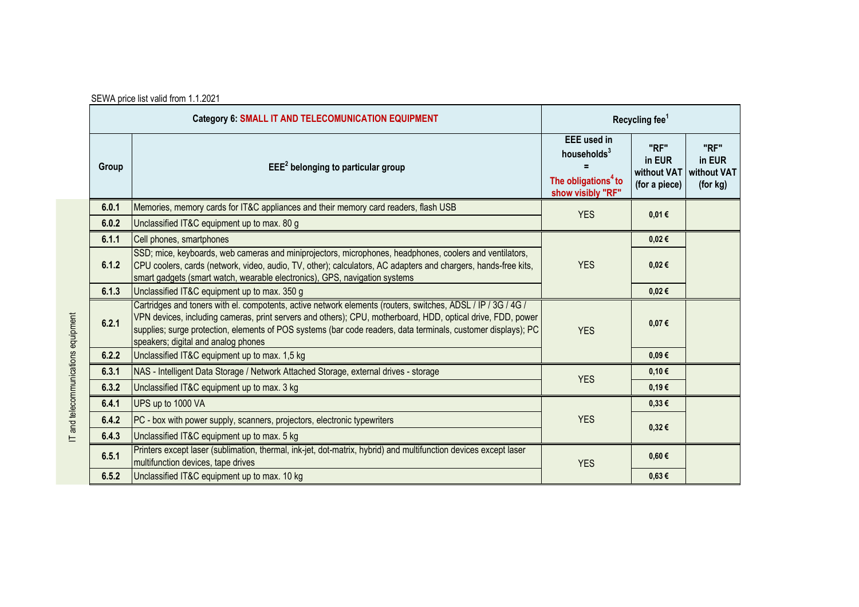| SEWA price list valid from 1.1.2021 |
|-------------------------------------|
|                                     |

| Category 6: SMALL IT AND TELECOMUNICATION EQUIPMENT |                                                                                                                                                                                                                                                                                                                                                                                     | Recycling fee <sup>1</sup>                                                                            |                                                |                                           |
|-----------------------------------------------------|-------------------------------------------------------------------------------------------------------------------------------------------------------------------------------------------------------------------------------------------------------------------------------------------------------------------------------------------------------------------------------------|-------------------------------------------------------------------------------------------------------|------------------------------------------------|-------------------------------------------|
| Group                                               | $EEE2$ belonging to particular group                                                                                                                                                                                                                                                                                                                                                | <b>EEE</b> used in<br>households <sup>3</sup><br>The obligations <sup>4</sup> to<br>show visibly "RF" | "RF"<br>in EUR<br>without VAT<br>(for a piece) | "RF"<br>in EUR<br>without VAT<br>(for kg) |
| 6.0.1                                               | Memories, memory cards for IT&C appliances and their memory card readers, flash USB                                                                                                                                                                                                                                                                                                 | <b>YES</b>                                                                                            | 0,01€                                          |                                           |
| 6.0.2                                               | Unclassified IT&C equipment up to max. 80 g                                                                                                                                                                                                                                                                                                                                         |                                                                                                       |                                                |                                           |
| 6.1.1                                               | Cell phones, smartphones                                                                                                                                                                                                                                                                                                                                                            |                                                                                                       | 0,02€                                          |                                           |
| 6.1.2                                               | SSD; mice, keyboards, web cameras and miniprojectors, microphones, headphones, coolers and ventilators,<br>CPU coolers, cards (network, video, audio, TV, other); calculators, AC adapters and chargers, hands-free kits,<br>smart gadgets (smart watch, wearable electronics), GPS, navigation systems                                                                             | <b>YES</b>                                                                                            | 0,02€                                          |                                           |
| 6.1.3                                               | Unclassified IT&C equipment up to max. 350 g                                                                                                                                                                                                                                                                                                                                        |                                                                                                       | 0,02€                                          |                                           |
| 6.2.1                                               | Cartridges and toners with el. compotents, active network elements (routers, switches, ADSL / IP / 3G / 4G /<br>VPN devices, including cameras, print servers and others); CPU, motherboard, HDD, optical drive, FDD, power<br>supplies; surge protection, elements of POS systems (bar code readers, data terminals, customer displays); PC<br>speakers; digital and analog phones | <b>YES</b>                                                                                            | 0,07€                                          |                                           |
| 6.2.2                                               | Unclassified IT&C equipment up to max. 1,5 kg                                                                                                                                                                                                                                                                                                                                       |                                                                                                       | $0,09 \in$                                     |                                           |
| 6.3.1                                               | NAS - Intelligent Data Storage / Network Attached Storage, external drives - storage                                                                                                                                                                                                                                                                                                | <b>YES</b>                                                                                            | 0,10€                                          |                                           |
| 6.3.2                                               | Unclassified IT&C equipment up to max. 3 kg                                                                                                                                                                                                                                                                                                                                         |                                                                                                       | 0,19€                                          |                                           |
| 6.4.1                                               | UPS up to 1000 VA                                                                                                                                                                                                                                                                                                                                                                   |                                                                                                       | $0.33 \in$                                     |                                           |
| 6.4.2                                               | PC - box with power supply, scanners, projectors, electronic typewriters                                                                                                                                                                                                                                                                                                            | <b>YES</b>                                                                                            | 0,32€                                          |                                           |
| 6.4.3                                               | Unclassified IT&C equipment up to max. 5 kg                                                                                                                                                                                                                                                                                                                                         |                                                                                                       |                                                |                                           |
| 6.5.1                                               | Printers except laser (sublimation, thermal, ink-jet, dot-matrix, hybrid) and multifunction devices except laser<br>multifunction devices, tape drives                                                                                                                                                                                                                              | <b>YES</b>                                                                                            | $0,60 \in$                                     |                                           |
| 6.5.2                                               | Unclassified IT&C equipment up to max. 10 kg                                                                                                                                                                                                                                                                                                                                        |                                                                                                       | $0.63 \in$                                     |                                           |

IT and telecommunications equipment IT and telecommunications equipment